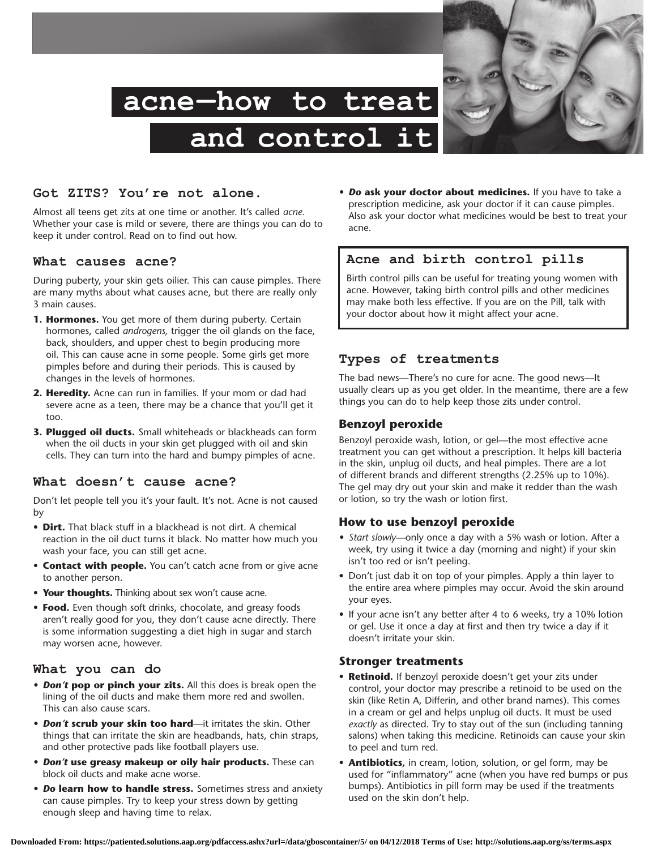

# **Got ZITS? You're not alone.**

Almost all teens get zits at one time or another. It's called *acne.* Whether your case is mild or severe, there are things you can do to keep it under control. Read on to find out how.

#### **What causes acne?**

During puberty, your skin gets oilier. This can cause pimples. There are many myths about what causes acne, but there are really only 3 main causes.

- **1. Hormones.** You get more of them during puberty. Certain hormones, called *androgens,* trigger the oil glands on the face, back, shoulders, and upper chest to begin producing more oil. This can cause acne in some people. Some girls get more pimples before and during their periods. This is caused by changes in the levels of hormones.
- **2. Heredity.** Acne can run in families. If your mom or dad had severe acne as a teen, there may be a chance that you'll get it too.
- **3. Plugged oil ducts.** Small whiteheads or blackheads can form when the oil ducts in your skin get plugged with oil and skin cells. They can turn into the hard and bumpy pimples of acne.

#### **What doesn't cause acne?**

Don't let people tell you it's your fault. It's not. Acne is not caused by

- **Dirt.** That black stuff in a blackhead is not dirt. A chemical reaction in the oil duct turns it black. No matter how much you wash your face, you can still get acne.
- **• Contact with people.** You can't catch acne from or give acne to another person.
- **• Your thoughts.** Thinking about sex won't cause acne.
- **Food.** Even though soft drinks, chocolate, and greasy foods aren't really good for you, they don't cause acne directly. There is some information suggesting a diet high in sugar and starch may worsen acne, however.

## **What you can do**

- *• Don't* **pop or pinch your zits.** All this does is break open the lining of the oil ducts and make them more red and swollen. This can also cause scars.
- *• Don't* **scrub your skin too hard**—it irritates the skin. Other things that can irritate the skin are headbands, hats, chin straps, and other protective pads like football players use.
- *• Don't* **use greasy makeup or oily hair products.** These can block oil ducts and make acne worse.
- *• Do* **learn how to handle stress.** Sometimes stress and anxiety can cause pimples. Try to keep your stress down by getting enough sleep and having time to relax.

*• Do* **ask your doctor about medicines.** If you have to take a prescription medicine, ask your doctor if it can cause pimples. Also ask your doctor what medicines would be best to treat your acne.

## **Acne and birth control pills**

Birth control pills can be useful for treating young women with acne. However, taking birth control pills and other medicines may make both less effective. If you are on the Pill, talk with your doctor about how it might affect your acne.

#### **Types of treatments**

The bad news—There's no cure for acne. The good news—It usually clears up as you get older. In the meantime, there are a few things you can do to help keep those zits under control.

## **Benzoyl peroxide**

Benzoyl peroxide wash, lotion, or gel—the most effective acne treatment you can get without a prescription. It helps kill bacteria in the skin, unplug oil ducts, and heal pimples. There are a lot of different brands and different strengths (2.25% up to 10%). The gel may dry out your skin and make it redder than the wash or lotion, so try the wash or lotion first.

## **How to use benzoyl peroxide**

- *• Start slowly—*only once a day with a 5% wash or lotion. After a week, try using it twice a day (morning and night) if your skin isn't too red or isn't peeling.
- Don't just dab it on top of your pimples. Apply a thin layer to the entire area where pimples may occur. Avoid the skin around your eyes.
- If your acne isn't any better after 4 to 6 weeks, try a 10% lotion or gel. Use it once a day at first and then try twice a day if it doesn't irritate your skin.

#### **Stronger treatments**

- **• Retinoid.** If benzoyl peroxide doesn't get your zits under control, your doctor may prescribe a retinoid to be used on the skin (like Retin A, Differin, and other brand names). This comes in a cream or gel and helps unplug oil ducts. It must be used *exactly* as directed. Try to stay out of the sun (including tanning salons) when taking this medicine. Retinoids can cause your skin to peel and turn red.
- **• Antibiotics,** in cream, lotion, solution, or gel form, may be used for "inflammatory" acne (when you have red bumps or pus bumps). Antibiotics in pill form may be used if the treatments used on the skin don't help.